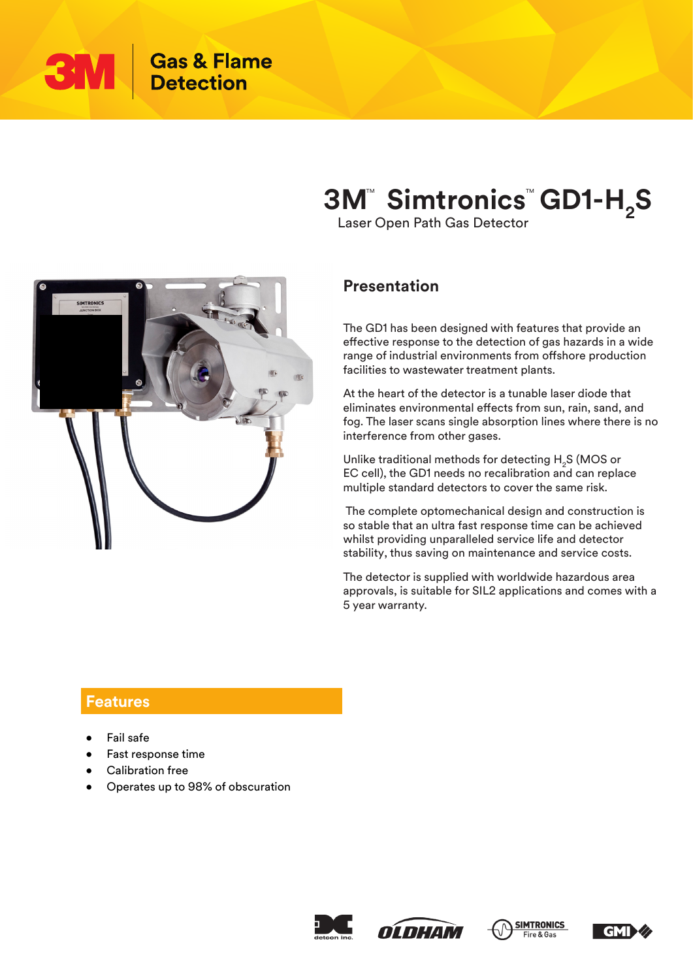

# **3M<sup>"</sup> Simtronics<sup>"</sup> GD1-H<sub>2</sub>S**

Laser Open Path Gas Detector



### **Presentation**

The GD1 has been designed with features that provide an effective response to the detection of gas hazards in a wide range of industrial environments from offshore production facilities to wastewater treatment plants.

At the heart of the detector is a tunable laser diode that eliminates environmental effects from sun, rain, sand, and fog. The laser scans single absorption lines where there is no interference from other gases.

Unlike traditional methods for detecting  $H<sub>2</sub>S$  (MOS or EC cell), the GD1 needs no recalibration and can replace multiple standard detectors to cover the same risk.

 The complete optomechanical design and construction is so stable that an ultra fast response time can be achieved whilst providing unparalleled service life and detector stability, thus saving on maintenance and service costs.

The detector is supplied with worldwide hazardous area approvals, is suitable for SIL2 applications and comes with a 5 year warranty.

#### **Features**

- Fail safe
- Fast response time
- Calibration free
- Operates up to 98% of obscuration